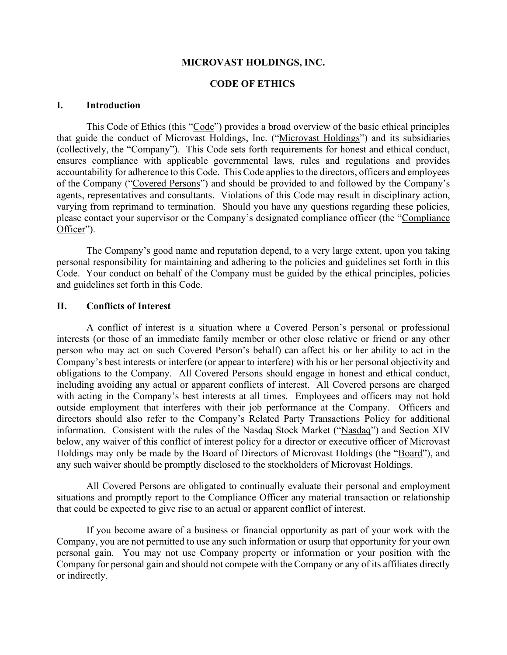### **MICROVAST HOLDINGS, INC.**

### **CODE OF ETHICS**

### **I. Introduction**

This Code of Ethics (this "Code") provides a broad overview of the basic ethical principles that guide the conduct of Microvast Holdings, Inc. ("Microvast Holdings") and its subsidiaries (collectively, the "Company"). This Code sets forth requirements for honest and ethical conduct, ensures compliance with applicable governmental laws, rules and regulations and provides accountability for adherence to this Code. This Code applies to the directors, officers and employees of the Company ("Covered Persons") and should be provided to and followed by the Company's agents, representatives and consultants. Violations of this Code may result in disciplinary action, varying from reprimand to termination. Should you have any questions regarding these policies, please contact your supervisor or the Company's designated compliance officer (the "Compliance Officer").

The Company's good name and reputation depend, to a very large extent, upon you taking personal responsibility for maintaining and adhering to the policies and guidelines set forth in this Code. Your conduct on behalf of the Company must be guided by the ethical principles, policies and guidelines set forth in this Code.

## **II. Conflicts of Interest**

A conflict of interest is a situation where a Covered Person's personal or professional interests (or those of an immediate family member or other close relative or friend or any other person who may act on such Covered Person's behalf) can affect his or her ability to act in the Company's best interests or interfere (or appear to interfere) with his or her personal objectivity and obligations to the Company. All Covered Persons should engage in honest and ethical conduct, including avoiding any actual or apparent conflicts of interest. All Covered persons are charged with acting in the Company's best interests at all times. Employees and officers may not hold outside employment that interferes with their job performance at the Company. Officers and directors should also refer to the Company's Related Party Transactions Policy for additional information. Consistent with the rules of the Nasdaq Stock Market ("Nasdaq") and Section XIV below, any waiver of this conflict of interest policy for a director or executive officer of Microvast Holdings may only be made by the Board of Directors of Microvast Holdings (the "Board"), and any such waiver should be promptly disclosed to the stockholders of Microvast Holdings.

All Covered Persons are obligated to continually evaluate their personal and employment situations and promptly report to the Compliance Officer any material transaction or relationship that could be expected to give rise to an actual or apparent conflict of interest.

If you become aware of a business or financial opportunity as part of your work with the Company, you are not permitted to use any such information or usurp that opportunity for your own personal gain. You may not use Company property or information or your position with the Company for personal gain and should not compete with the Company or any of its affiliates directly or indirectly.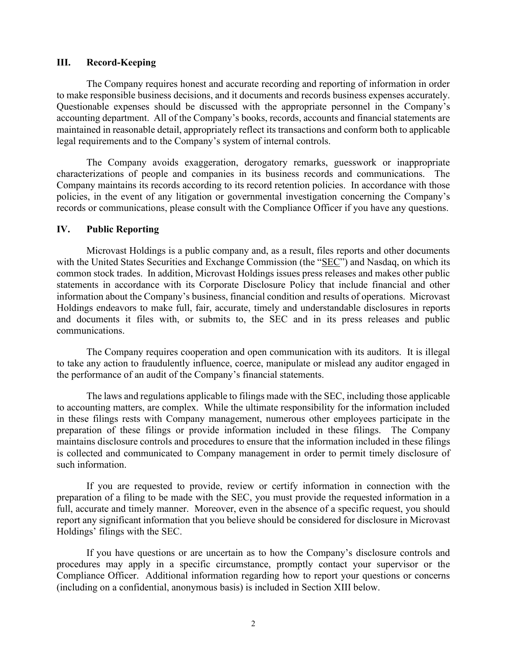### **III. Record-Keeping**

The Company requires honest and accurate recording and reporting of information in order to make responsible business decisions, and it documents and records business expenses accurately. Questionable expenses should be discussed with the appropriate personnel in the Company's accounting department. All of the Company's books, records, accounts and financial statements are maintained in reasonable detail, appropriately reflect its transactions and conform both to applicable legal requirements and to the Company's system of internal controls.

The Company avoids exaggeration, derogatory remarks, guesswork or inappropriate characterizations of people and companies in its business records and communications. The Company maintains its records according to its record retention policies. In accordance with those policies, in the event of any litigation or governmental investigation concerning the Company's records or communications, please consult with the Compliance Officer if you have any questions.

### **IV. Public Reporting**

Microvast Holdings is a public company and, as a result, files reports and other documents with the United States Securities and Exchange Commission (the "SEC") and Nasdaq, on which its common stock trades. In addition, Microvast Holdings issues press releases and makes other public statements in accordance with its Corporate Disclosure Policy that include financial and other information about the Company's business, financial condition and results of operations. Microvast Holdings endeavors to make full, fair, accurate, timely and understandable disclosures in reports and documents it files with, or submits to, the SEC and in its press releases and public communications.

The Company requires cooperation and open communication with its auditors. It is illegal to take any action to fraudulently influence, coerce, manipulate or mislead any auditor engaged in the performance of an audit of the Company's financial statements.

The laws and regulations applicable to filings made with the SEC, including those applicable to accounting matters, are complex. While the ultimate responsibility for the information included in these filings rests with Company management, numerous other employees participate in the preparation of these filings or provide information included in these filings. The Company maintains disclosure controls and procedures to ensure that the information included in these filings is collected and communicated to Company management in order to permit timely disclosure of such information.

If you are requested to provide, review or certify information in connection with the preparation of a filing to be made with the SEC, you must provide the requested information in a full, accurate and timely manner. Moreover, even in the absence of a specific request, you should report any significant information that you believe should be considered for disclosure in Microvast Holdings' filings with the SEC.

If you have questions or are uncertain as to how the Company's disclosure controls and procedures may apply in a specific circumstance, promptly contact your supervisor or the Compliance Officer. Additional information regarding how to report your questions or concerns (including on a confidential, anonymous basis) is included in Section XIII below.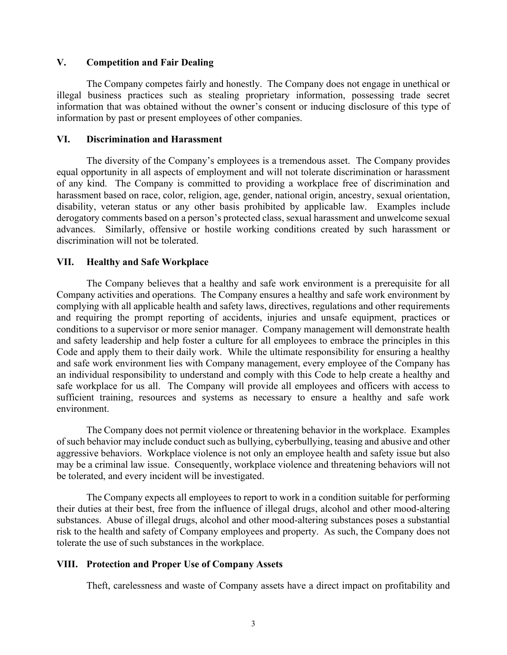### **V. Competition and Fair Dealing**

The Company competes fairly and honestly. The Company does not engage in unethical or illegal business practices such as stealing proprietary information, possessing trade secret information that was obtained without the owner's consent or inducing disclosure of this type of information by past or present employees of other companies.

### **VI. Discrimination and Harassment**

The diversity of the Company's employees is a tremendous asset. The Company provides equal opportunity in all aspects of employment and will not tolerate discrimination or harassment of any kind. The Company is committed to providing a workplace free of discrimination and harassment based on race, color, religion, age, gender, national origin, ancestry, sexual orientation, disability, veteran status or any other basis prohibited by applicable law. Examples include derogatory comments based on a person's protected class, sexual harassment and unwelcome sexual advances. Similarly, offensive or hostile working conditions created by such harassment or discrimination will not be tolerated.

# **VII. Healthy and Safe Workplace**

The Company believes that a healthy and safe work environment is a prerequisite for all Company activities and operations. The Company ensures a healthy and safe work environment by complying with all applicable health and safety laws, directives, regulations and other requirements and requiring the prompt reporting of accidents, injuries and unsafe equipment, practices or conditions to a supervisor or more senior manager. Company management will demonstrate health and safety leadership and help foster a culture for all employees to embrace the principles in this Code and apply them to their daily work. While the ultimate responsibility for ensuring a healthy and safe work environment lies with Company management, every employee of the Company has an individual responsibility to understand and comply with this Code to help create a healthy and safe workplace for us all. The Company will provide all employees and officers with access to sufficient training, resources and systems as necessary to ensure a healthy and safe work environment.

The Company does not permit violence or threatening behavior in the workplace. Examples of such behavior may include conduct such as bullying, cyberbullying, teasing and abusive and other aggressive behaviors. Workplace violence is not only an employee health and safety issue but also may be a criminal law issue. Consequently, workplace violence and threatening behaviors will not be tolerated, and every incident will be investigated.

The Company expects all employees to report to work in a condition suitable for performing their duties at their best, free from the influence of illegal drugs, alcohol and other mood-altering substances. Abuse of illegal drugs, alcohol and other mood-altering substances poses a substantial risk to the health and safety of Company employees and property. As such, the Company does not tolerate the use of such substances in the workplace.

# **VIII. Protection and Proper Use of Company Assets**

Theft, carelessness and waste of Company assets have a direct impact on profitability and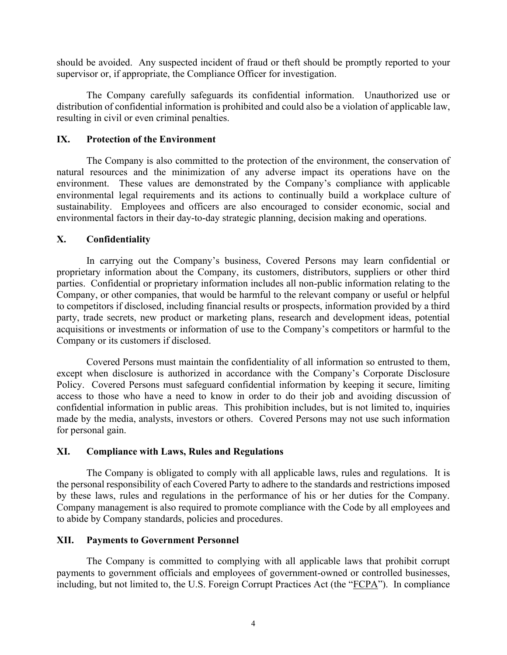should be avoided. Any suspected incident of fraud or theft should be promptly reported to your supervisor or, if appropriate, the Compliance Officer for investigation.

The Company carefully safeguards its confidential information. Unauthorized use or distribution of confidential information is prohibited and could also be a violation of applicable law, resulting in civil or even criminal penalties.

### **IX. Protection of the Environment**

The Company is also committed to the protection of the environment, the conservation of natural resources and the minimization of any adverse impact its operations have on the environment. These values are demonstrated by the Company's compliance with applicable environmental legal requirements and its actions to continually build a workplace culture of sustainability. Employees and officers are also encouraged to consider economic, social and environmental factors in their day-to-day strategic planning, decision making and operations.

# **X. Confidentiality**

In carrying out the Company's business, Covered Persons may learn confidential or proprietary information about the Company, its customers, distributors, suppliers or other third parties. Confidential or proprietary information includes all non-public information relating to the Company, or other companies, that would be harmful to the relevant company or useful or helpful to competitors if disclosed, including financial results or prospects, information provided by a third party, trade secrets, new product or marketing plans, research and development ideas, potential acquisitions or investments or information of use to the Company's competitors or harmful to the Company or its customers if disclosed.

Covered Persons must maintain the confidentiality of all information so entrusted to them, except when disclosure is authorized in accordance with the Company's Corporate Disclosure Policy. Covered Persons must safeguard confidential information by keeping it secure, limiting access to those who have a need to know in order to do their job and avoiding discussion of confidential information in public areas. This prohibition includes, but is not limited to, inquiries made by the media, analysts, investors or others. Covered Persons may not use such information for personal gain.

# **XI. Compliance with Laws, Rules and Regulations**

The Company is obligated to comply with all applicable laws, rules and regulations. It is the personal responsibility of each Covered Party to adhere to the standards and restrictions imposed by these laws, rules and regulations in the performance of his or her duties for the Company. Company management is also required to promote compliance with the Code by all employees and to abide by Company standards, policies and procedures.

### **XII. Payments to Government Personnel**

The Company is committed to complying with all applicable laws that prohibit corrupt payments to government officials and employees of government-owned or controlled businesses, including, but not limited to, the U.S. Foreign Corrupt Practices Act (the "FCPA"). In compliance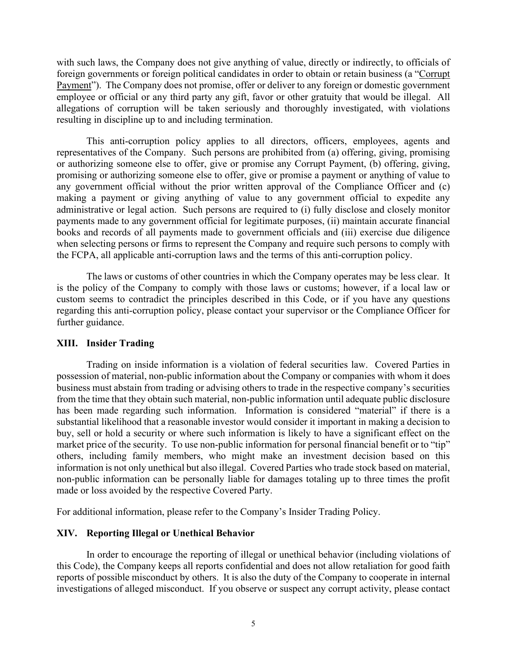with such laws, the Company does not give anything of value, directly or indirectly, to officials of foreign governments or foreign political candidates in order to obtain or retain business (a "Corrupt Payment"). The Company does not promise, offer or deliver to any foreign or domestic government employee or official or any third party any gift, favor or other gratuity that would be illegal. All allegations of corruption will be taken seriously and thoroughly investigated, with violations resulting in discipline up to and including termination.

This anti-corruption policy applies to all directors, officers, employees, agents and representatives of the Company. Such persons are prohibited from (a) offering, giving, promising or authorizing someone else to offer, give or promise any Corrupt Payment, (b) offering, giving, promising or authorizing someone else to offer, give or promise a payment or anything of value to any government official without the prior written approval of the Compliance Officer and (c) making a payment or giving anything of value to any government official to expedite any administrative or legal action. Such persons are required to (i) fully disclose and closely monitor payments made to any government official for legitimate purposes, (ii) maintain accurate financial books and records of all payments made to government officials and (iii) exercise due diligence when selecting persons or firms to represent the Company and require such persons to comply with the FCPA, all applicable anti-corruption laws and the terms of this anti-corruption policy.

The laws or customs of other countries in which the Company operates may be less clear. It is the policy of the Company to comply with those laws or customs; however, if a local law or custom seems to contradict the principles described in this Code, or if you have any questions regarding this anti-corruption policy, please contact your supervisor or the Compliance Officer for further guidance.

# **XIII. Insider Trading**

Trading on inside information is a violation of federal securities law. Covered Parties in possession of material, non-public information about the Company or companies with whom it does business must abstain from trading or advising others to trade in the respective company's securities from the time that they obtain such material, non-public information until adequate public disclosure has been made regarding such information. Information is considered "material" if there is a substantial likelihood that a reasonable investor would consider it important in making a decision to buy, sell or hold a security or where such information is likely to have a significant effect on the market price of the security. To use non-public information for personal financial benefit or to "tip" others, including family members, who might make an investment decision based on this information is not only unethical but also illegal. Covered Parties who trade stock based on material, non-public information can be personally liable for damages totaling up to three times the profit made or loss avoided by the respective Covered Party.

For additional information, please refer to the Company's Insider Trading Policy.

# **XIV. Reporting Illegal or Unethical Behavior**

In order to encourage the reporting of illegal or unethical behavior (including violations of this Code), the Company keeps all reports confidential and does not allow retaliation for good faith reports of possible misconduct by others. It is also the duty of the Company to cooperate in internal investigations of alleged misconduct. If you observe or suspect any corrupt activity, please contact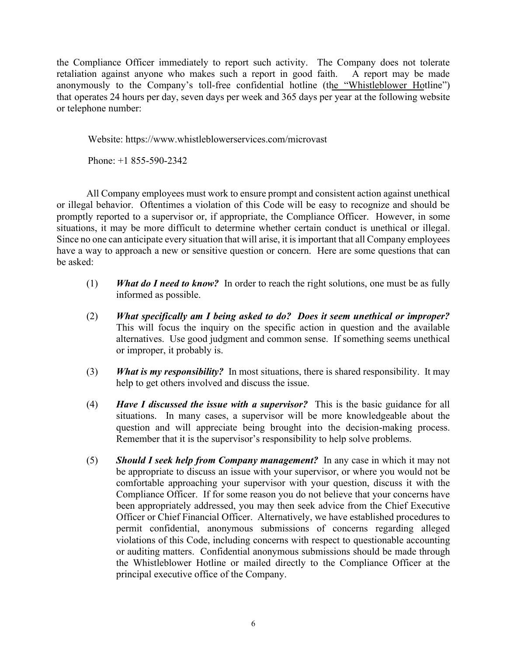the Compliance Officer immediately to report such activity. The Company does not tolerate retaliation against anyone who makes such a report in good faith. A report may be made anonymously to the Company's toll-free confidential hotline (the "Whistleblower Hotline") that operates 24 hours per day, seven days per week and 365 days per year at the following website or telephone number:

Website: https://www.whistleblowerservices.com/microvast

Phone: +1 855-590-2342

All Company employees must work to ensure prompt and consistent action against unethical or illegal behavior. Oftentimes a violation of this Code will be easy to recognize and should be promptly reported to a supervisor or, if appropriate, the Compliance Officer. However, in some situations, it may be more difficult to determine whether certain conduct is unethical or illegal. Since no one can anticipate every situation that will arise, it is important that all Company employees have a way to approach a new or sensitive question or concern. Here are some questions that can be asked:

- (1) *What do I need to know?* In order to reach the right solutions, one must be as fully informed as possible.
- (2) *What specifically am I being asked to do? Does it seem unethical or improper?* This will focus the inquiry on the specific action in question and the available alternatives. Use good judgment and common sense. If something seems unethical or improper, it probably is.
- (3) *What is my responsibility?* In most situations, there is shared responsibility. It may help to get others involved and discuss the issue.
- (4) *Have I discussed the issue with a supervisor?* This is the basic guidance for all situations. In many cases, a supervisor will be more knowledgeable about the question and will appreciate being brought into the decision-making process. Remember that it is the supervisor's responsibility to help solve problems.
- (5) *Should I seek help from Company management?* In any case in which it may not be appropriate to discuss an issue with your supervisor, or where you would not be comfortable approaching your supervisor with your question, discuss it with the Compliance Officer. If for some reason you do not believe that your concerns have been appropriately addressed, you may then seek advice from the Chief Executive Officer or Chief Financial Officer. Alternatively, we have established procedures to permit confidential, anonymous submissions of concerns regarding alleged violations of this Code, including concerns with respect to questionable accounting or auditing matters. Confidential anonymous submissions should be made through the Whistleblower Hotline or mailed directly to the Compliance Officer at the principal executive office of the Company.